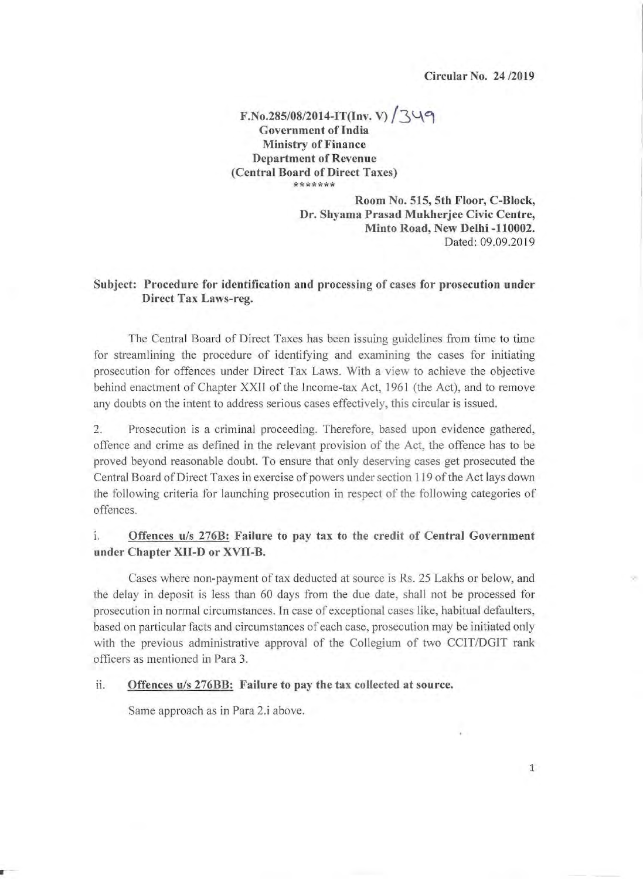Circular No. 24/2019

1

 $F.No.285/08/2014-I T(Inv. V)$   $/349$ Government of India Ministry of Finance Department of Revenue (Central Board of Direct Taxes) \*\*\*\*\*\*\*

> Room No. 515, 5th Floor, C-Block, Dr. Shyama Prasad Mukherjee Civic Centre, Minto Road, New Delhi -110002. Dated: 09.09.2019

### Subject: Procedure for identification and processing of cases for prosecution under Direct Tax Laws-reg.

The Central Board of Direct Taxes has been issuing guidelines from time to time for streamlining the procedure of identifying and examining the cases for initiating prosecution for offences under Direct Tax Laws. With a view to achieve the objective behind enactment of Chapter XXfI of the Income-tax Act, 1961 (the Act), and to remove any doubts on the intent to address serious cases effectively, this circular is issued.

2. Prosecution is a criminal proceeding. Therefore, based upon evidence gathered, offence and crime as defined in the relevant provision of the Act, the offence has to be proved beyond reasonable doubt. To ensure that only deserving cases get prosecuted the Central Board of Direct Taxes in exercise of powers under section 119 of the Act lays down the following criteria for launching prosecution in respect of the following categories of offences.

## I. Offences *uls* 276B: Failure to pay tax to the credit of Central Government under Chapter XII-D or XVII-B.

Cases where non-payment of tax deducted at source is Rs. 25 Lakhs or below, and the delay in deposit is less than 60 days from the due date, shall not be processed for prosecution in normal circumstances. In case of exceptional cases like, habitual defaulters, based on particular facts and circumstances of each case, prosecution may be initiated only with the previous administrative approval of the Collegium of two CCIT/DGIT rank officers as mentioned in Para 3.

ii. Offences u/s 276BB: Failure to pay the tax collected at source.

Same approach as in Para 2.i above.

.- -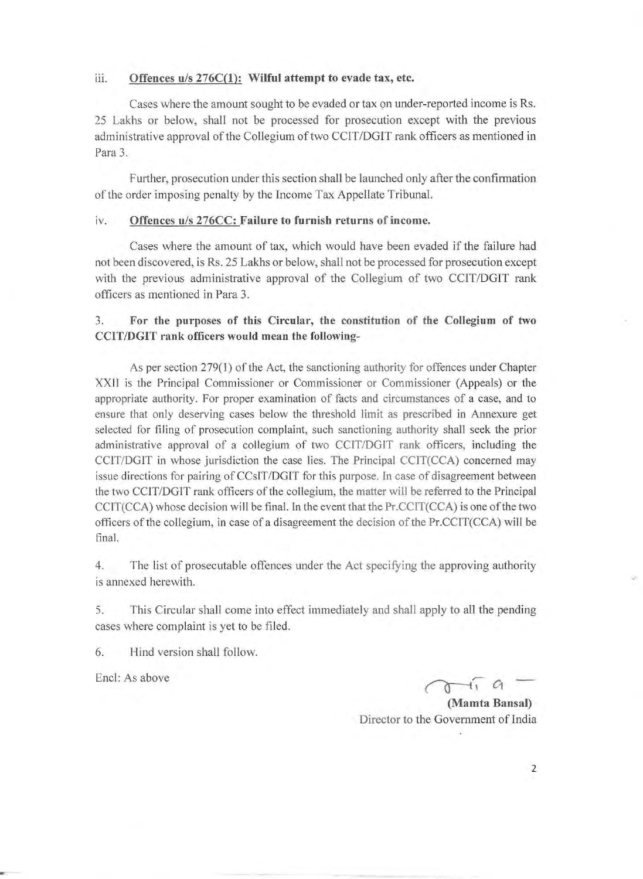#### iii. Offences u/s 276C(1): Wilful attempt to evade tax, etc.

Cases where the amount sought to be evaded or tax on under-reported income is Rs. 25 Lakhs or below, shall not be processed for prosecution except with the previous administrative approval of the Collegium of two CClT/DGIT rank officers as mentioned in Para 3.

Further, prosecution under this section shall be launched only after the confirmation of the order imposing penalty by the Income Tax Appellate Tribunal.

#### iv. Offences u/s 276CC: Failure to furnish returns of income.

Cases where the amount of tax, which would have been evaded if the failure had not been discovered, is Rs. 25 Lakhs or below, shall not be processed for prosecution except with the previous administrative approval of the Collegium of two CCIT/DGIT rank officers as mentioned in Para 3.

## 3. For the purposes of this Circular, the constitution of the Collegium of two CCIT/DGIT rank officers would mean the following-

As per section 279(1) of the Act, the sanctioning authority for offences under Chapter XXII is the Principal Commissioner or Commissioner or Commissioner (Appeals) or the appropriate authority. For proper examination of facts and circumstances of a case, and to ensure that only deserving cases below the threshold limit as prescribed in Annexure get selected for filing of prosecution complaint, such sanctioning authority shall seek the prior administrative approval of a collegium of two CCIT/DGLT rank officers, including the CCIT/DGIT in whose jurisdiction the case lies. The Principal CCLT(CCA) concerned may issue directions for pairing of CCsIT/DGIT for this purpose. In case of disagreement between the two CCIT/DGIT rank officers of the collegium, the matter will be referred to the Principal CCIT(CCA) whose decision will be final. In the event that the Pr.CCIT(CCA) is one of the two officers of the collegium, in case of a disagreement the decision of the  $Pr.CCTT(CCA)$  will be final.

4. The list of prosecutable offences under the Act specifying the approving authority is annexed herewith.

5. This Circular shall come into effect immediately and shall apply to all the pending cases where complaint is yet to be filed.

6. Hind version shall follow.

Encl: As above  $\bigcap_{i} G$ 

(Mamta Bansal) Director to the Government of India

2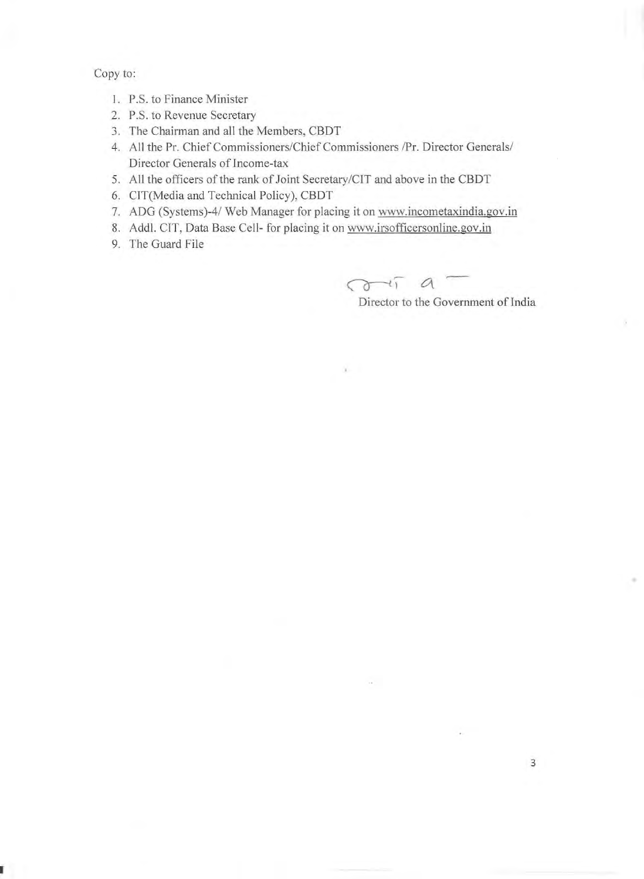Copy to:

- I. P.S. to Finance Minister
- 2. P.S. to Revenue Secretary
- 3. The Chairman and all the Members, CBDT
- 4. All the Pr. Chief Commissioners/Chief Commissioners /Pr. Director Generals/ Director Generals of Income-tax
- 5. All the officers of the rank of Joint Secretary/CIT and above in the CBDT
- 6. CIT(Media and Technical Policy), CBDT
- 7. ADG (Systems)-4/ Web Manager for placing it on www.incometaxindia.gov.in

x.

- 8. Addl. CIT, Data Base Cell- for placing it on www.irsofficersonline.gov.in
- 9. The Guard File

 $\sigma$ -ii a -

Director to the Government of India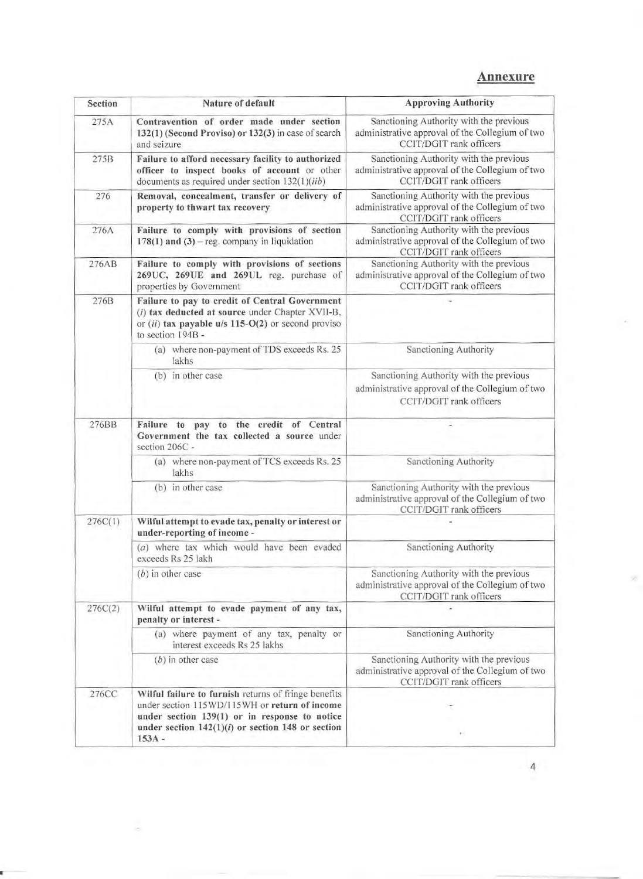# Annexure

| Section | Nature of default                                                                                                                                                                                                           | <b>Approving Authority</b>                                                                                            |
|---------|-----------------------------------------------------------------------------------------------------------------------------------------------------------------------------------------------------------------------------|-----------------------------------------------------------------------------------------------------------------------|
| 275A    | Contravention of order made under section<br>132(1) (Second Proviso) or 132(3) in case of search<br>and seizure                                                                                                             | Sanctioning Authority with the previous<br>administrative approval of the Collegium of two<br>CCIT/DGIT rank officers |
| 275B    | Failure to afford necessary facility to authorized<br>officer to inspect books of account or other<br>documents as required under section 132(1)(iib)                                                                       | Sanctioning Authority with the previous<br>administrative approval of the Collegium of two<br>CCIT/DGIT rank officers |
| 276     | Removal, concealment, transfer or delivery of<br>property to thwart tax recovery                                                                                                                                            | Sanctioning Authority with the previous<br>administrative approval of the Collegium of two<br>CCIT/DGIT rank officers |
| 276A    | Failure to comply with provisions of section<br>$178(1)$ and $(3)$ – reg. company in liquidation                                                                                                                            | Sanctioning Authority with the previous<br>administrative approval of the Collegium of two<br>CCIT/DGIT rank officers |
| 276AB   | Failure to comply with provisions of sections<br>269UC, 269UE and 269UL reg. purchase of<br>properties by Government                                                                                                        | Sanctioning Authority with the previous<br>administrative approval of the Collegium of two<br>CCIT/DGIT rank officers |
| 276B    | Failure to pay to credit of Central Government<br>(i) tax deducted at source under Chapter XVII-B,<br>or $(ii)$ tax payable u/s 115-O(2) or second proviso<br>to section 194B -                                             |                                                                                                                       |
|         | (a) where non-payment of TDS exceeds Rs. 25<br>lakhs                                                                                                                                                                        | Sanctioning Authority                                                                                                 |
|         | (b) in other case                                                                                                                                                                                                           | Sanctioning Authority with the previous<br>administrative approval of the Collegium of two<br>CCIT/DGIT rank officers |
| 276BB   | Failure to pay to the credit of Central<br>Government the tax collected a source under<br>section 206C -                                                                                                                    |                                                                                                                       |
|         | (a) where non-payment of TCS exceeds Rs. 25<br>lakhs                                                                                                                                                                        | Sanctioning Authority                                                                                                 |
|         | (b) in other case                                                                                                                                                                                                           | Sanctioning Authority with the previous<br>administrative approval of the Collegium of two<br>CCIT/DGIT rank officers |
| 276C(1) | Wilful attempt to evade tax, penalty or interest or<br>under-reporting of income -                                                                                                                                          |                                                                                                                       |
|         | (a) where tax which would have been evaded<br>exceeds Rs 25 lakh                                                                                                                                                            | Sanctioning Authority                                                                                                 |
|         | $(b)$ in other case                                                                                                                                                                                                         | Sanctioning Authority with the previous<br>administrative approval of the Collegium of two<br>CCIT/DGIT rank officers |
| 276C(2) | Wilful attempt to evade payment of any tax,<br>penalty or interest -                                                                                                                                                        |                                                                                                                       |
|         | (a) where payment of any tax, penalty or<br>interest exceeds Rs 25 lakhs                                                                                                                                                    | Sanctioning Authority                                                                                                 |
|         | $(b)$ in other case                                                                                                                                                                                                         | Sanctioning Authority with the previous<br>administrative approval of the Collegium of two<br>CCIT/DGIT rank officers |
| 276CC   | Wilful failure to furnish returns of fringe benefits<br>under section 115WD/115WH or return of income<br>under section $139(1)$ or in response to notice<br>under section $142(1)(i)$ or section 148 or section<br>$153A -$ |                                                                                                                       |

×

4